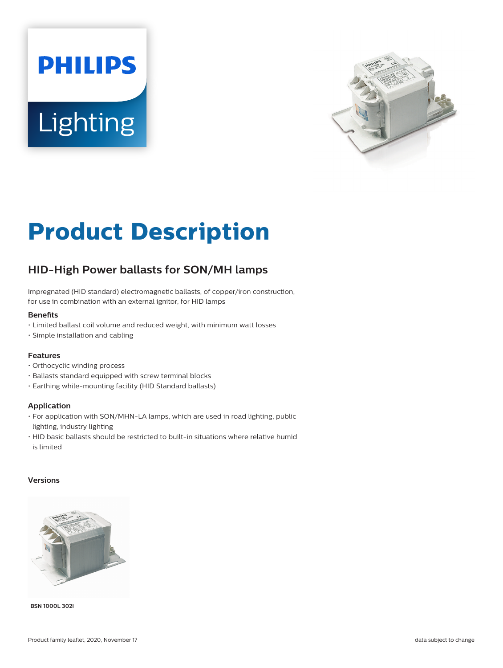# **PHILIPS** Lighting



# **Product Description**

## **HID-High Power ballasts for SON/MH lamps**

Impregnated (HID standard) electromagnetic ballasts, of copper/iron construction, for use in combination with an external ignitor, for HID lamps

#### **Benets**

- Limited ballast coil volume and reduced weight, with minimum watt losses
- Simple installation and cabling

#### **Features**

- Orthocyclic winding process
- Ballasts standard equipped with screw terminal blocks
- Earthing while-mounting facility (HID Standard ballasts)

#### **Application**

- For application with SON/MHN-LA lamps, which are used in road lighting, public lighting, industry lighting
- HID basic ballasts should be restricted to built-in situations where relative humid is limited

#### **Versions**



**BSN 1000L 302I**